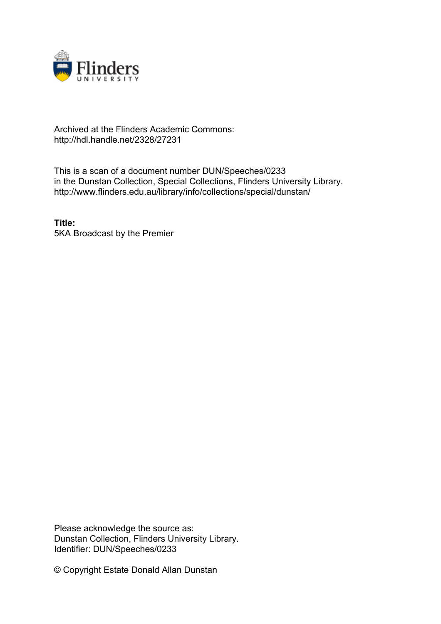

## Archived at the Flinders Academic Commons: http://hdl.handle.net/2328/27231

This is a scan of a document number DUN/Speeches/0233 in the Dunstan Collection, Special Collections, Flinders University Library. http://www.flinders.edu.au/library/info/collections/special/dunstan/

**Title:** 5KA Broadcast by the Premier

Please acknowledge the source as: Dunstan Collection, Flinders University Library. Identifier: DUN/Speeches/0233

© Copyright Estate Donald Allan Dunstan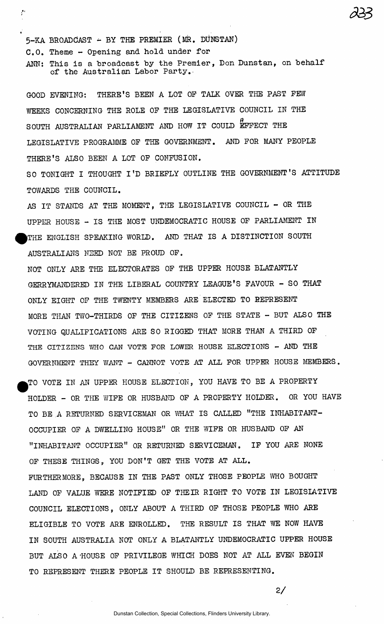5-KA BROADCAST - BY THE PREMIER (MR. DUNSTAN) C.O. Theme - Opening and hold under for

 $1.11$  . The contract of the contract of the contract of the contract of the contract of the contract of the contract of the contract of the contract of the contract of the contract of the contract of the contract of the

\*

 $\zeta^{\bullet}$ 

ANN: This is a broadcast by the Premier, Don Dunstan, on behalf of the Australian Labor Party.-

GOOD EVENING: THERE'S BEEN A LOT OP TALK OVER THE PAST PEW WEEKS CONCERNING THE ROLE OP THE LEGISLATIVE COUNCIL IN THE SOUTH AUSTRALIAN PARLIAMENT AND HOW IT COULD EFFECT THE LEGISLATIVE PROGRAMME OP THE GOVERNMENT. AND POR MANY PEOPLE THERE'S ALSO BEEN A LOT OP CONFUSION.

SO TONIGHT I THOUGHT I'D BRIEFLY OUTLINE THE GOVERNMENT'S ATTITUDE TOWARDS THE COUNCIL.

AS IT STANDS AT THE MOMENT. THE LEGISLATIVE COUNCIL  $-$  OR THE UPPER HOUSE - IS THE MOST UNDEMOCRATIC HOUSE OF PARLIAMENT IN THE ENGLISH SPEAKING WORLD. AND THAT IS A DISTINCTION SOUTH AUSTRALIANS NEED NOT BE PROUD OF.

NOT ONLY ARE THE ELECTORATES OF THE UPPER HOUSE BLATANTLY GERRYMANDERED IN THE LIBERAL COUNTRY LEAGUE'S FAVOUR - SO THAT ONLY EIGHT OF THE TWENTY MEMBERS ARE ELECTED TO REPRESENT MORE THAN TWO-THIRDS OF THE CITIZENS OF THE STATE - BUT ALSO THE VOTING QUALIFICATIONS ARE SO RIGGED THAT MORE THAN A THIRD OF THE CITIZENS WHO CAN VOTE FOR LOWER HOUSE ELECTIONS - AND THE GOVERNMENT THEY WANT - CANNOT VOTE AT ALL FOR UPPER HOUSE MEMBERS.

TO VOTE IN AN UPPER HOUSE ELECTION, YOU HAVE TO BE A PROPERTY HOLDER - OR THE WIFE OR HUSBAND OF A PROPERTY HOLDER. OR YOU HAVE TO BE A RETURNED SERVICEMAN OR WHAT IS CALLED "THE INHABITANT-OCCUPIER OF A DWELLING HOUSE" OR THE WIFE OR HUSBAND OF AN "INHABITANT OCCUPIER" OR RETURNED SERVICEMAN. IF YOU ARE NONE OF THESE THINGS, YOU DON'T GET THE VOTE AT ALL. FURTHERMORE, BECAUSE IN THE PAST ONLY THOSE PEOPLE WHO BOUGHT LAND OF VALUE WERE NOTIFIED OF THEIR RIGHT TO VOTE IN LEGISLATIVE COUNCIL ELECTIONS, ONLY ABOUT A THIRD OF THOSE PEOPLE WHO ARE ELIGIBLE TO VOTE ARE ENROLLED. THE RESULT IS THAT WE NOW HAVE IN SOUTH AUSTRALIA NOT ONLY A BLATANTLY UNDEMOCRATIC UPPER HOUSE BUT ALSO A-HOUSE OP PRIVILEGE WHICH DOES NOT AT ALL EVEN BEGIN

**2/** 

TO REPRESENT THERE PEOPLE IT SHOULD BE REPRESENTING.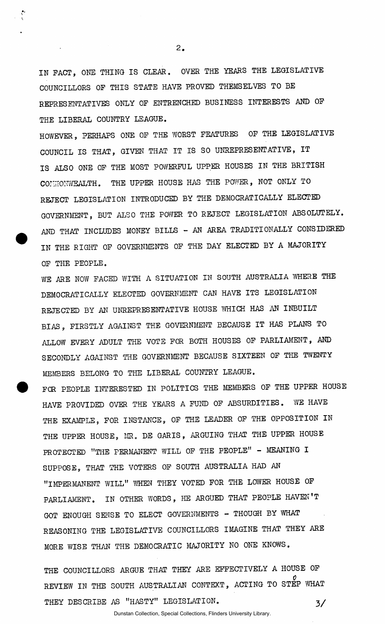IN PACT, ONE THING IS CLEAR. OVER THE YEARS THE LEGISLATIVE COUNCILLORS OP THIS STATE HAVE PROVED THEMSELVES TO BE REPRESENTATIVES ONLY OP ENTRENCHED BUSINESS INTERESTS AND OP THE LIBERAL COUNTRY LEAGUE.

 $2.$ 

 $\ddot{\ }$ 

HOWEVER, PERHAPS ONE OP THE WORST FEATURES OP THE LEGISLATIVE COUNCIL IS THAT, GIVEN THAT IT IS SO UNREPRESENTATIVE, IT IS ALSO ONE OP THE MOST POWERFUL UPPER HOUSES IN THE BRITISH CONCONWEALTH. THE UPPER HOUSE HAS THE POWER, NOT ONLY TO REJECT LEGISLATION INTRODUCED BY THE DEMOCRATICALLY ELECTED GOVERNMENT, BUT ALSO THE POWER TO REJECT LEGISLATION ABSOLUTELY. AND THAT INCLUDES MONEY BILLS - AN AREA TRADITIONALLY CONSIDERED IN THE RIGHT OP GOVERNMENTS OF THE DAY ELECTED BY A MAJORITY OP THE PEOPLE.

WE ARE NOW FACED WITH A SITUATION IN SOUTH AUSTRALIA WHERE THE DEMOCRATICALLY ELECTED GOVERNMENT CAN HAVE ITS LEGISLATION REJECTED BY AN UNREPRESENTATIVE HOUSE WHICH HAS AN INBUILT BIAS, FIRSTLY AGAINST THE GOVERNMENT BECAUSE IT HAS PLANS TO ALLOW EVERY ADULT THE VOTE FOR BOTH HOUSES OF PARLIAMENT, AND SECONDLY AGAINST THE GOVERNMENT BECAUSE SIXTEEN OF THE TWENTY MEMBERS BELONG TO THE LIBERAL COUNTRY LEAGUE.

FOR PEOPLE INTERESTED IN POLITICS THE MEMBERS OF THE UPPER HOUSE HAVE PROVIDED OVER THE YEARS A FUND OF ABSURDITIES. WE HAVE THE EXAMPLE, FOR INSTANCE, OF THE LEADER OF THE OPPOSITION IN THE UPPER HOUSE, MR. DE GARIS, ARGUING THAT THE UPPER HOUSE PROTECTED "THE PERMANENT WILL OF THE PEOPLE" - MEANING I SUPPOSE, THAT THE VOTERS OF SOUTH AUSTRALIA HAD AN "IMPERMANENT WILL" WHEN THEY VOTED FOR THE LOWER HOUSE OF PARLIAMENT. IN OTHER WORDS, HE ARGUED THAT PEOPLE HAVEN'T GOT ENOUGH SENSE TO ELECT GOVERNMENTS - THOUGH BY WHAT REASONING THE LEGISLATIVE COUNCILLORS IMAGINE THAT THEY ARE MORE WISE THAN THE DEMOCRATIC MAJORITY NO ONE KNOWS.

THE COUNCILLORS ARGUE THAT THEY ARE EFFECTIVELY A HOUSE OF *0*  REVIEW IN THE SOUTH AUSTRALIAN CONTEXT, ACCEPTANCE THEY DESCRIBE AS "HASTY" LEGISLATION. 3/

Dunstan Collection, Special Collections, Flinders University Library.